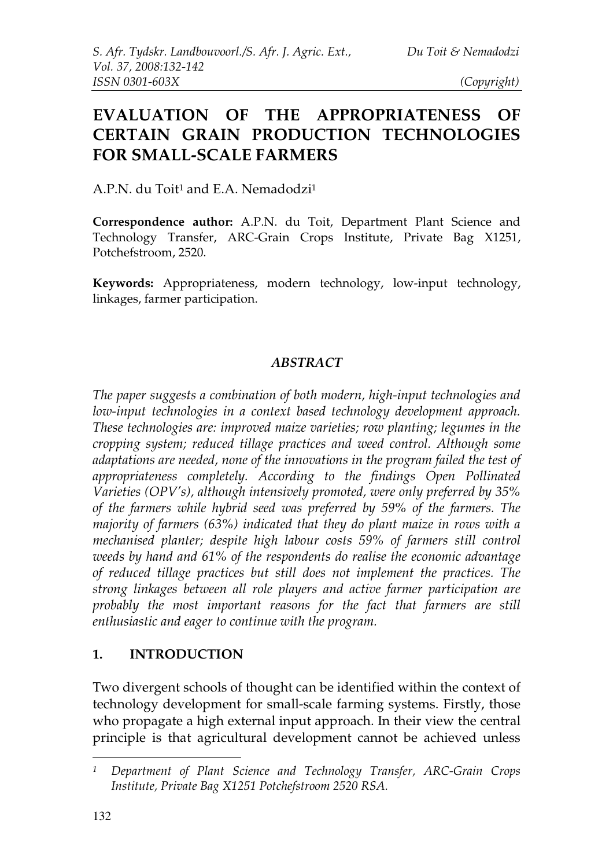# **EVALUATION OF THE APPROPRIATENESS OF CERTAIN GRAIN PRODUCTION TECHNOLOGIES FOR SMALL-SCALE FARMERS**

A.P.N. du Toit <sup>1</sup> and E.A. Nemadodzi 1

**Correspondence author:** A.P.N. du Toit, Department Plant Science and Technology Transfer, ARC-Grain Crops Institute, Private Bag X1251, Potchefstroom, 2520.

**Keywords:** Appropriateness, modern technology, low-input technology, linkages, farmer participation.

#### *ABSTRACT*

*The paper suggests a combination of both modern, high-input technologies and low-input technologies in a context based technology development approach. These technologies are: improved maize varieties; row planting; legumes in the cropping system; reduced tillage practices and weed control. Although some adaptations are needed, none of the innovations in the program failed the test of appropriateness completely. According to the findings Open Pollinated Varieties (OPV's), although intensively promoted, were only preferred by 35% of the farmers while hybrid seed was preferred by 59% of the farmers. The majority of farmers (63%) indicated that they do plant maize in rows with a mechanised planter; despite high labour costs 59% of farmers still control weeds by hand and 61% of the respondents do realise the economic advantage of reduced tillage practices but still does not implement the practices. The strong linkages between all role players and active farmer participation are probably the most important reasons for the fact that farmers are still enthusiastic and eager to continue with the program.*

#### **1. INTRODUCTION**

Two divergent schools of thought can be identified within the context of technology development for small-scale farming systems. Firstly, those who propagate a high external input approach. In their view the central principle is that agricultural development cannot be achieved unless

*<sup>1</sup> Department of Plant Science and Technology Transfer, ARC-Grain Crops Institute, Private Bag X1251 Potchefstroom 2520 RSA.*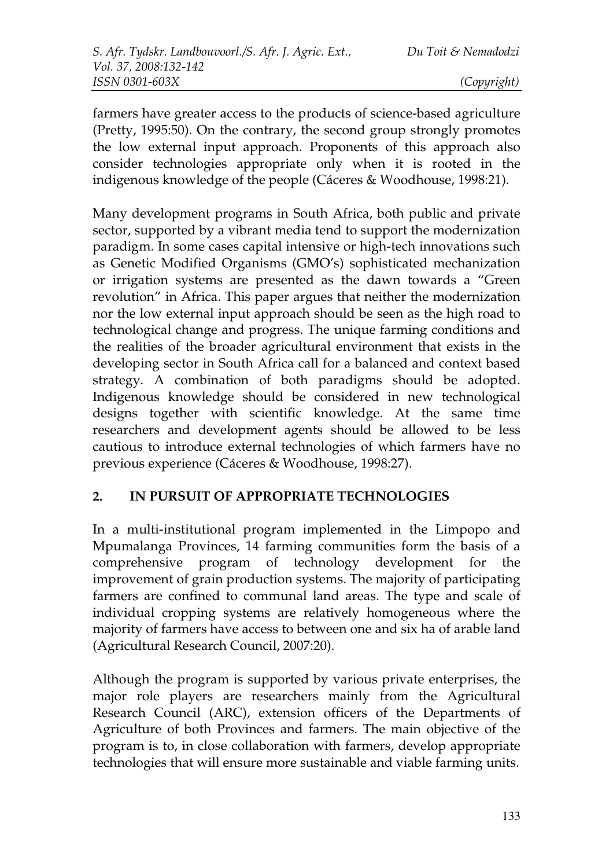farmers have greater access to the products of science-based agriculture (Pretty, 1995:50). On the contrary, the second group strongly promotes the low external input approach. Proponents of this approach also consider technologies appropriate only when it is rooted in the indigenous knowledge of the people (Cáceres & Woodhouse, 1998:21).

Many development programs in South Africa, both public and private sector, supported by a vibrant media tend to support the modernization paradigm. In some cases capital intensive or high-tech innovations such as Genetic Modified Organisms (GMO's) sophisticated mechanization or irrigation systems are presented as the dawn towards a "Green revolution" in Africa. This paper argues that neither the modernization nor the low external input approach should be seen as the high road to technological change and progress. The unique farming conditions and the realities of the broader agricultural environment that exists in the developing sector in South Africa call for a balanced and context based strategy. A combination of both paradigms should be adopted. Indigenous knowledge should be considered in new technological designs together with scientific knowledge. At the same time researchers and development agents should be allowed to be less cautious to introduce external technologies of which farmers have no previous experience (Cáceres & Woodhouse, 1998:27).

### **2. IN PURSUIT OF APPROPRIATE TECHNOLOGIES**

In a multi-institutional program implemented in the Limpopo and Mpumalanga Provinces, 14 farming communities form the basis of a comprehensive program of technology development for the improvement of grain production systems. The majority of participating farmers are confined to communal land areas. The type and scale of individual cropping systems are relatively homogeneous where the majority of farmers have access to between one and six ha of arable land (Agricultural Research Council, 2007:20).

Although the program is supported by various private enterprises, the major role players are researchers mainly from the Agricultural Research Council (ARC), extension officers of the Departments of Agriculture of both Provinces and farmers. The main objective of the program is to, in close collaboration with farmers, develop appropriate technologies that will ensure more sustainable and viable farming units.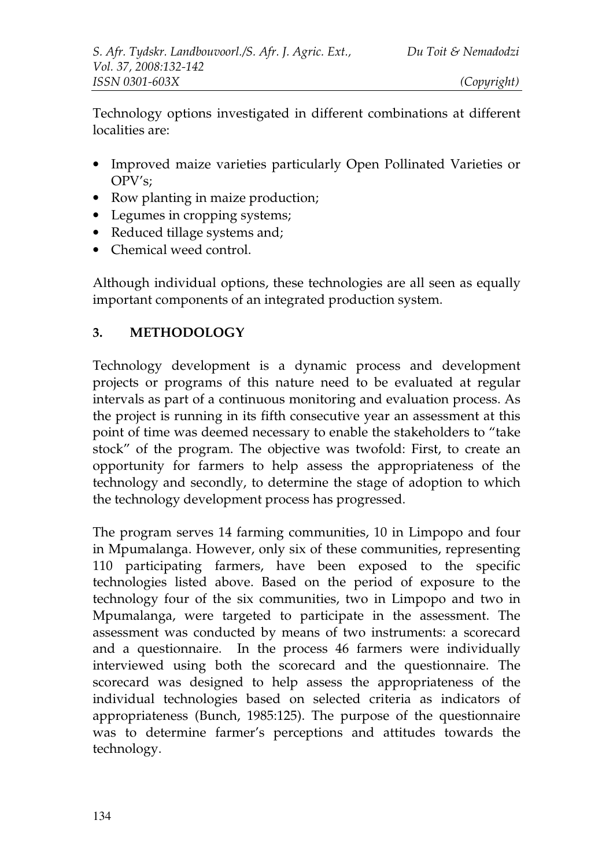Technology options investigated in different combinations at different localities are:

- Improved maize varieties particularly Open Pollinated Varieties or OPV's;
- Row planting in maize production;
- Legumes in cropping systems;
- Reduced tillage systems and;
- Chemical weed control.

Although individual options, these technologies are all seen as equally important components of an integrated production system.

#### **3. METHODOLOGY**

Technology development is a dynamic process and development projects or programs of this nature need to be evaluated at regular intervals as part of a continuous monitoring and evaluation process. As the project is running in its fifth consecutive year an assessment at this point of time was deemed necessary to enable the stakeholders to "take stock" of the program. The objective was twofold: First, to create an opportunity for farmers to help assess the appropriateness of the technology and secondly, to determine the stage of adoption to which the technology development process has progressed.

The program serves 14 farming communities, 10 in Limpopo and four in Mpumalanga. However, only six of these communities, representing 110 participating farmers, have been exposed to the specific technologies listed above. Based on the period of exposure to the technology four of the six communities, two in Limpopo and two in Mpumalanga, were targeted to participate in the assessment. The assessment was conducted by means of two instruments: a scorecard and a questionnaire. In the process 46 farmers were individually interviewed using both the scorecard and the questionnaire. The scorecard was designed to help assess the appropriateness of the individual technologies based on selected criteria as indicators of appropriateness (Bunch, 1985:125). The purpose of the questionnaire was to determine farmer's perceptions and attitudes towards the technology.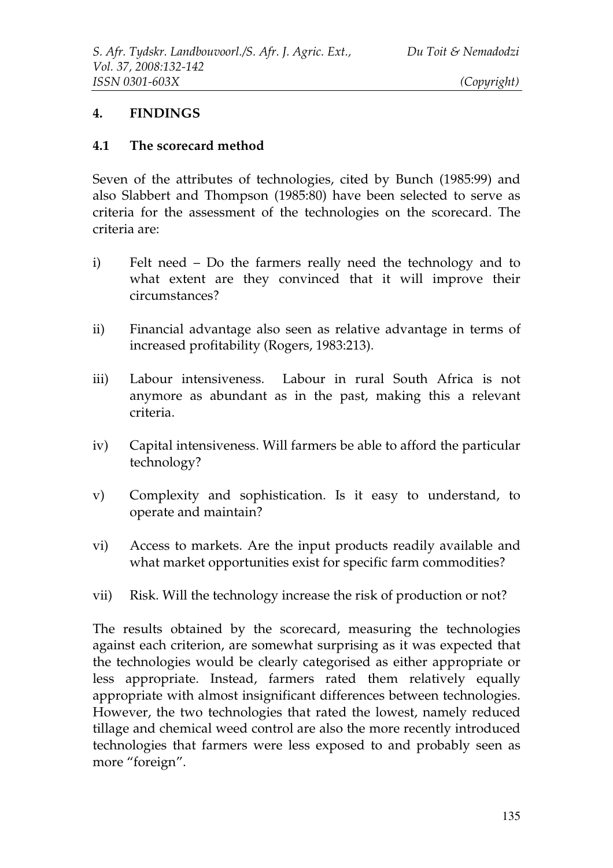#### **4. FINDINGS**

#### **4.1 The scorecard method**

Seven of the attributes of technologies, cited by Bunch (1985:99) and also Slabbert and Thompson (1985:80) have been selected to serve as criteria for the assessment of the technologies on the scorecard. The criteria are:

- i) Felt need Do the farmers really need the technology and to what extent are they convinced that it will improve their circumstances?
- ii) Financial advantage also seen as relative advantage in terms of increased profitability (Rogers, 1983:213).
- iii) Labour intensiveness. Labour in rural South Africa is not anymore as abundant as in the past, making this a relevant criteria.
- iv) Capital intensiveness. Will farmers be able to afford the particular technology?
- v) Complexity and sophistication. Is it easy to understand, to operate and maintain?
- vi) Access to markets. Are the input products readily available and what market opportunities exist for specific farm commodities?
- vii) Risk. Will the technology increase the risk of production or not?

The results obtained by the scorecard, measuring the technologies against each criterion, are somewhat surprising as it was expected that the technologies would be clearly categorised as either appropriate or less appropriate. Instead, farmers rated them relatively equally appropriate with almost insignificant differences between technologies. However, the two technologies that rated the lowest, namely reduced tillage and chemical weed control are also the more recently introduced technologies that farmers were less exposed to and probably seen as more "foreign".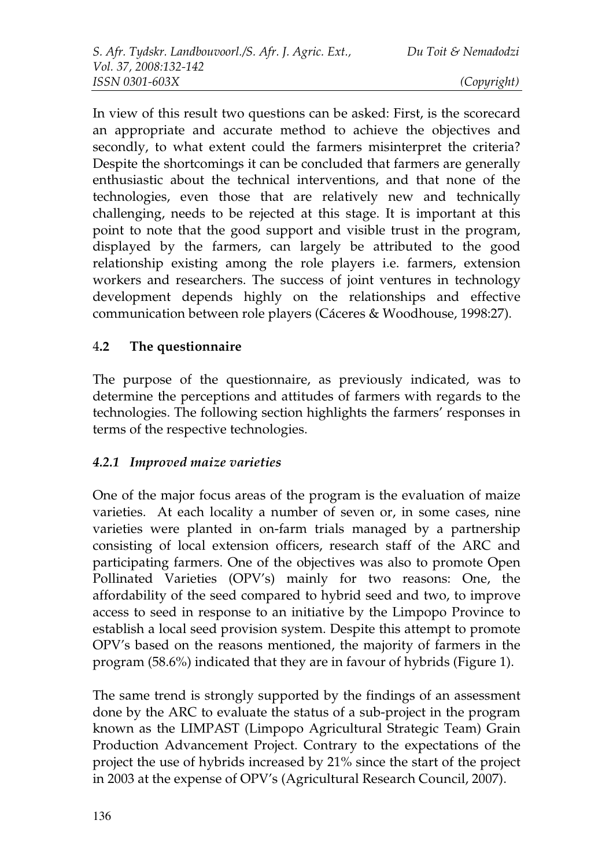In view of this result two questions can be asked: First, is the scorecard an appropriate and accurate method to achieve the objectives and secondly, to what extent could the farmers misinterpret the criteria? Despite the shortcomings it can be concluded that farmers are generally enthusiastic about the technical interventions, and that none of the technologies, even those that are relatively new and technically challenging, needs to be rejected at this stage. It is important at this point to note that the good support and visible trust in the program, displayed by the farmers, can largely be attributed to the good relationship existing among the role players i.e. farmers, extension workers and researchers. The success of joint ventures in technology development depends highly on the relationships and effective communication between role players (Cáceres & Woodhouse, 1998:27).

### 4**.2 The questionnaire**

The purpose of the questionnaire, as previously indicated, was to determine the perceptions and attitudes of farmers with regards to the technologies. The following section highlights the farmers' responses in terms of the respective technologies.

### *4.2.1 Improved maize varieties*

One of the major focus areas of the program is the evaluation of maize varieties. At each locality a number of seven or, in some cases, nine varieties were planted in on-farm trials managed by a partnership consisting of local extension officers, research staff of the ARC and participating farmers. One of the objectives was also to promote Open Pollinated Varieties (OPV's) mainly for two reasons: One, the affordability of the seed compared to hybrid seed and two, to improve access to seed in response to an initiative by the Limpopo Province to establish a local seed provision system. Despite this attempt to promote OPV's based on the reasons mentioned, the majority of farmers in the program (58.6%) indicated that they are in favour of hybrids (Figure 1).

The same trend is strongly supported by the findings of an assessment done by the ARC to evaluate the status of a sub-project in the program known as the LIMPAST (Limpopo Agricultural Strategic Team) Grain Production Advancement Project. Contrary to the expectations of the project the use of hybrids increased by 21% since the start of the project in 2003 at the expense of OPV's (Agricultural Research Council, 2007).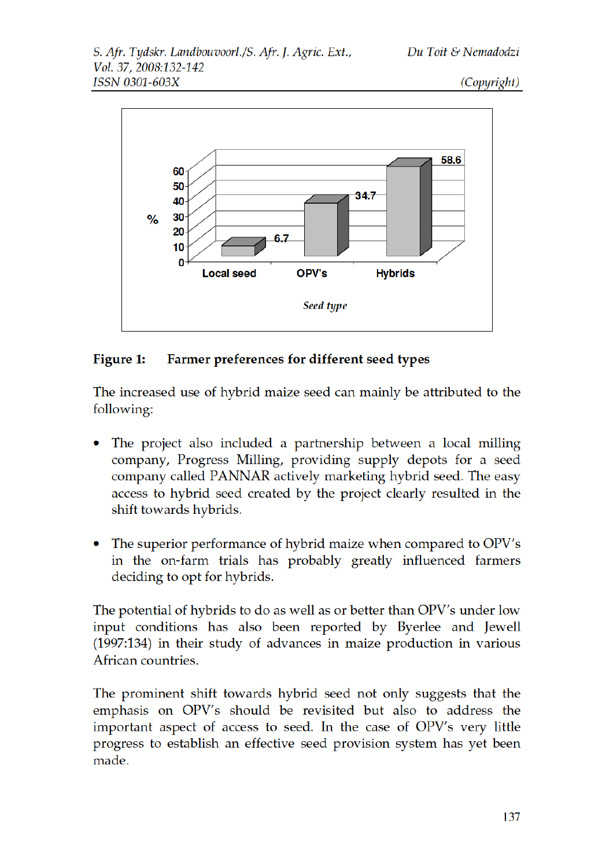

#### Figure 1: Farmer preferences for different seed types

The increased use of hybrid maize seed can mainly be attributed to the following:

- The project also included a partnership between a local milling company, Progress Milling, providing supply depots for a seed company called PANNAR actively marketing hybrid seed. The easy access to hybrid seed created by the project clearly resulted in the shift towards hybrids.
- The superior performance of hybrid maize when compared to OPV's in the on-farm trials has probably greatly influenced farmers deciding to opt for hybrids.

The potential of hybrids to do as well as or better than OPV's under low input conditions has also been reported by Byerlee and Jewell (1997:134) in their study of advances in maize production in various African countries.

The prominent shift towards hybrid seed not only suggests that the emphasis on OPV's should be revisited but also to address the important aspect of access to seed. In the case of OPV's very little progress to establish an effective seed provision system has yet been made.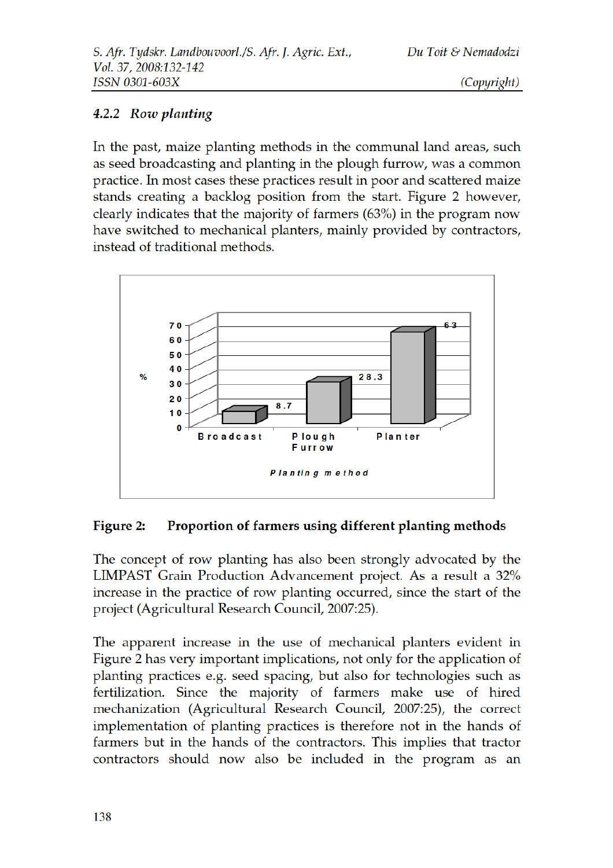#### 4.2.2 Row planting

In the past, maize planting methods in the communal land areas, such as seed broadcasting and planting in the plough furrow, was a common practice. In most cases these practices result in poor and scattered maize stands creating a backlog position from the start. Figure 2 however, clearly indicates that the majority of farmers  $(63\%)$  in the program now have switched to mechanical planters, mainly provided by contractors, instead of traditional methods.



#### Figure 2: Proportion of farmers using different planting methods

The concept of row planting has also been strongly advocated by the LIMPAST Grain Production Advancement project. As a result a 32% increase in the practice of row planting occurred, since the start of the project (Agricultural Research Council, 2007:25).

The apparent increase in the use of mechanical planters evident in Figure 2 has very important implications, not only for the application of planting practices e.g. seed spacing, but also for technologies such as fertilization. Since the majority of farmers make use of hired mechanization (Agricultural Research Council, 2007:25), the correct implementation of planting practices is therefore not in the hands of farmers but in the hands of the contractors. This implies that tractor contractors should now also be included in the program as an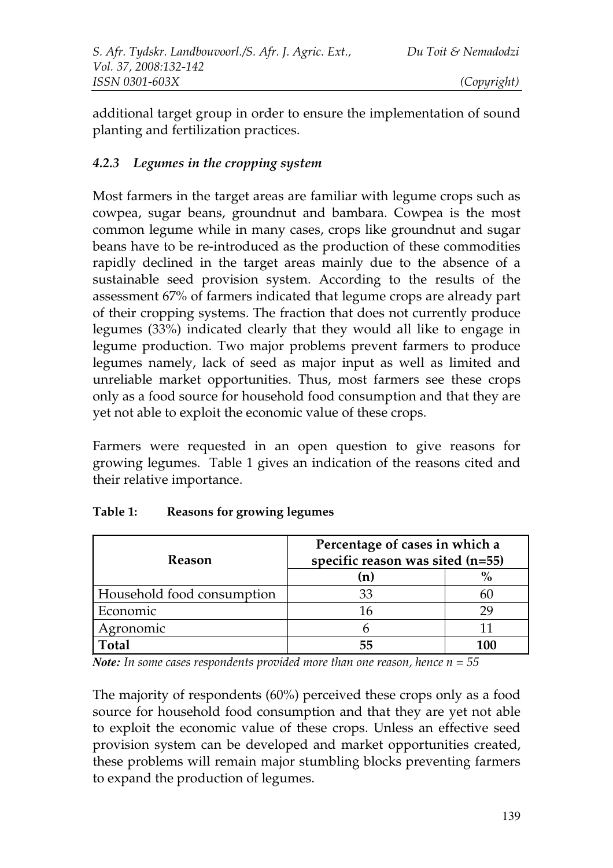additional target group in order to ensure the implementation of sound planting and fertilization practices.

### *4.2.3 Legumes in the cropping system*

Most farmers in the target areas are familiar with legume crops such as cowpea, sugar beans, groundnut and bambara. Cowpea is the most common legume while in many cases, crops like groundnut and sugar beans have to be re-introduced as the production of these commodities rapidly declined in the target areas mainly due to the absence of a sustainable seed provision system. According to the results of the assessment 67% of farmers indicated that legume crops are already part of their cropping systems. The fraction that does not currently produce legumes (33%) indicated clearly that they would all like to engage in legume production. Two major problems prevent farmers to produce legumes namely, lack of seed as major input as well as limited and unreliable market opportunities. Thus, most farmers see these crops only as a food source for household food consumption and that they are yet not able to exploit the economic value of these crops.

Farmers were requested in an open question to give reasons for growing legumes. Table 1 gives an indication of the reasons cited and their relative importance.

| <b>Reason</b>              | Percentage of cases in which a<br>specific reason was sited (n=55) |               |
|----------------------------|--------------------------------------------------------------------|---------------|
|                            | (n)                                                                | $\frac{0}{0}$ |
| Household food consumption | 33                                                                 |               |
| Economic                   |                                                                    |               |
| Agronomic                  |                                                                    |               |
| Total                      | 55                                                                 | 100           |

#### **Table 1: Reasons for growing legumes**

*Note:* In some cases respondents provided more than one reason, hence  $n = 55$ 

The majority of respondents (60%) perceived these crops only as a food source for household food consumption and that they are yet not able to exploit the economic value of these crops. Unless an effective seed provision system can be developed and market opportunities created, these problems will remain major stumbling blocks preventing farmers to expand the production of legumes.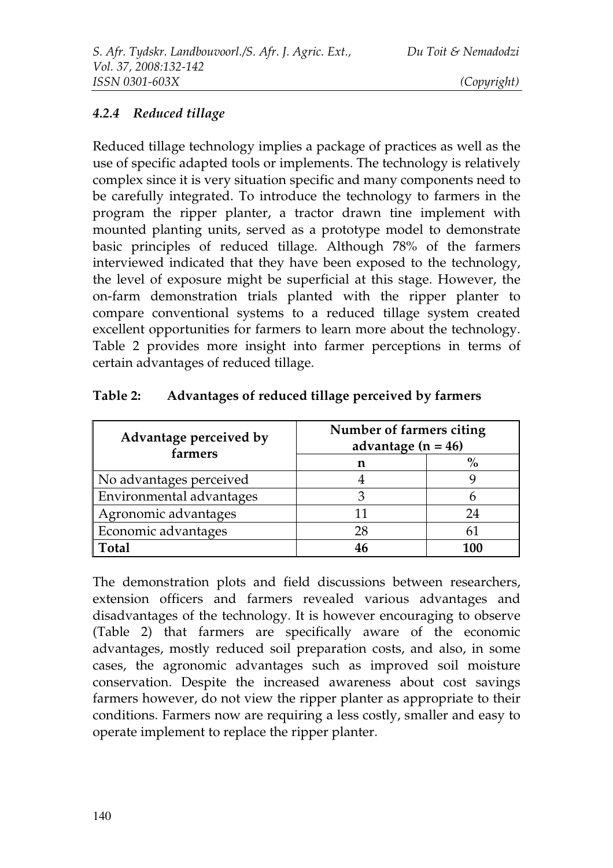## *4.2.4 Reduced tillage*

Reduced tillage technology implies a package of practices as well as the use of specific adapted tools or implements. The technology is relatively complex since it is very situation specific and many components need to be carefully integrated. To introduce the technology to farmers in the program the ripper planter, a tractor drawn tine implement with mounted planting units, served as a prototype model to demonstrate basic principles of reduced tillage. Although 78% of the farmers interviewed indicated that they have been exposed to the technology, the level of exposure might be superficial at this stage. However, the on-farm demonstration trials planted with the ripper planter to compare conventional systems to a reduced tillage system created excellent opportunities for farmers to learn more about the technology. Table 2 provides more insight into farmer perceptions in terms of certain advantages of reduced tillage.

| Advantage perceived by<br>farmers | Number of farmers citing<br>advantage $(n = 46)$ |     |
|-----------------------------------|--------------------------------------------------|-----|
|                                   | n                                                |     |
| No advantages perceived           |                                                  |     |
| Environmental advantages          |                                                  |     |
| Agronomic advantages              |                                                  | 24  |
| Economic advantages               | 28                                               | 6 I |
| Total                             |                                                  | 100 |

| Table 2: | Advantages of reduced tillage perceived by farmers |  |  |
|----------|----------------------------------------------------|--|--|
|----------|----------------------------------------------------|--|--|

The demonstration plots and field discussions between researchers, extension officers and farmers revealed various advantages and disadvantages of the technology. It is however encouraging to observe (Table 2) that farmers are specifically aware of the economic advantages, mostly reduced soil preparation costs, and also, in some cases, the agronomic advantages such as improved soil moisture conservation. Despite the increased awareness about cost savings farmers however, do not view the ripper planter as appropriate to their conditions. Farmers now are requiring a less costly, smaller and easy to operate implement to replace the ripper planter.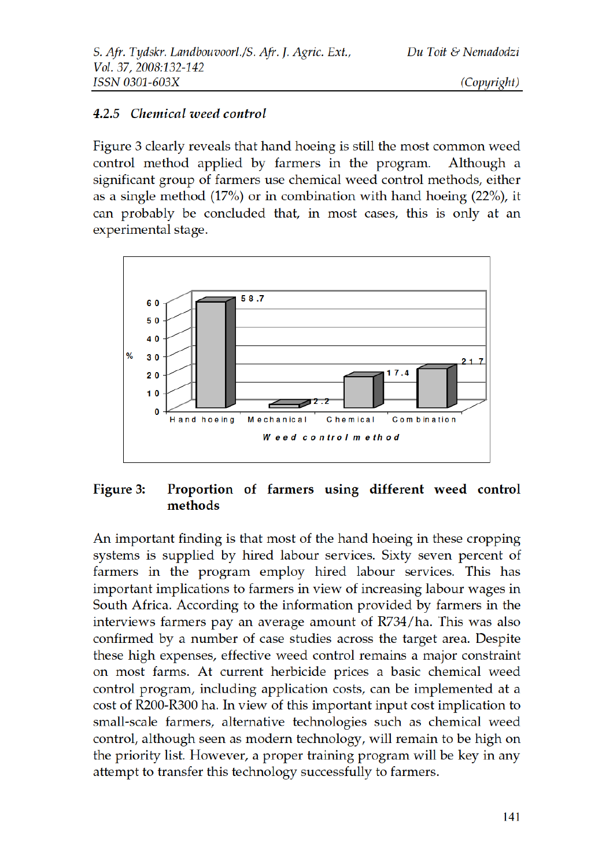#### 4.2.5 Chemical weed control

Figure 3 clearly reveals that hand hoeing is still the most common weed control method applied by farmers in the program. Although a significant group of farmers use chemical weed control methods, either as a single method (17%) or in combination with hand hoeing (22%), it can probably be concluded that, in most cases, this is only at an experimental stage.



#### Proportion of farmers using different weed control Figure 3: methods

An important finding is that most of the hand hoeing in these cropping systems is supplied by hired labour services. Sixty seven percent of farmers in the program employ hired labour services. This has important implications to farmers in view of increasing labour wages in South Africa. According to the information provided by farmers in the interviews farmers pay an average amount of R734/ha. This was also confirmed by a number of case studies across the target area. Despite these high expenses, effective weed control remains a major constraint on most farms. At current herbicide prices a basic chemical weed control program, including application costs, can be implemented at a cost of R200-R300 ha. In view of this important input cost implication to small-scale farmers, alternative technologies such as chemical weed control, although seen as modern technology, will remain to be high on the priority list. However, a proper training program will be key in any attempt to transfer this technology successfully to farmers.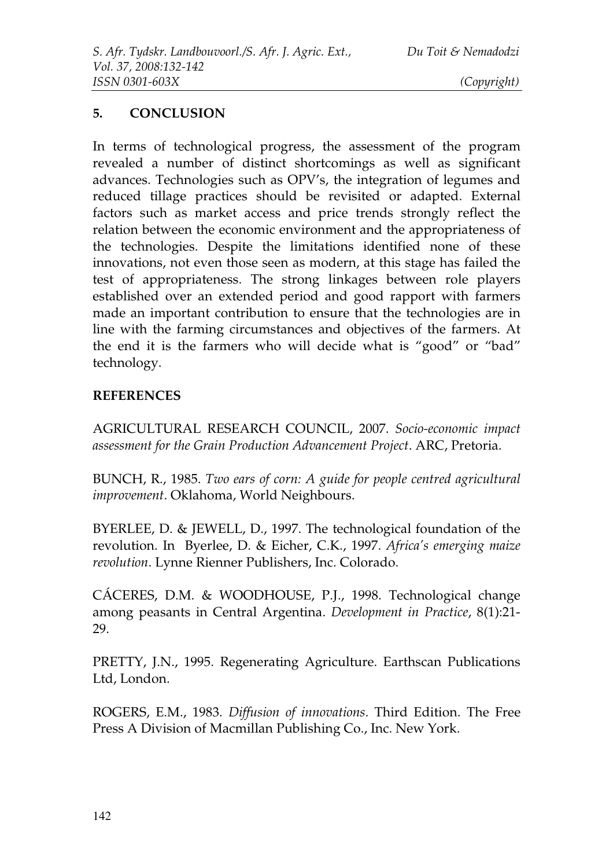#### **5. CONCLUSION**

In terms of technological progress, the assessment of the program revealed a number of distinct shortcomings as well as significant advances. Technologies such as OPV's, the integration of legumes and reduced tillage practices should be revisited or adapted. External factors such as market access and price trends strongly reflect the relation between the economic environment and the appropriateness of the technologies. Despite the limitations identified none of these innovations, not even those seen as modern, at this stage has failed the test of appropriateness. The strong linkages between role players established over an extended period and good rapport with farmers made an important contribution to ensure that the technologies are in line with the farming circumstances and objectives of the farmers. At the end it is the farmers who will decide what is "good" or "bad" technology.

#### **REFERENCES**

AGRICULTURAL RESEARCH COUNCIL, 2007. *Socio-economic impact assessment for the Grain Production Advancement Project*. ARC, Pretoria.

BUNCH, R., 1985. *Two ears of corn: A guide for people centred agricultural improvement*. Oklahoma, World Neighbours.

BYERLEE, D. & JEWELL, D., 1997. The technological foundation of the revolution. In Byerlee, D. & Eicher, C.K., 1997. *Africa's emerging maize revolution*. Lynne Rienner Publishers, Inc. Colorado.

CÁCERES, D.M. & WOODHOUSE, P.J., 1998. Technological change among peasants in Central Argentina. *Development in Practice*, 8(1):21- 29.

PRETTY, J.N., 1995. Regenerating Agriculture. Earthscan Publications Ltd, London.

ROGERS, E.M., 1983. *Diffusion of innovations*. Third Edition. The Free Press A Division of Macmillan Publishing Co., Inc. New York.